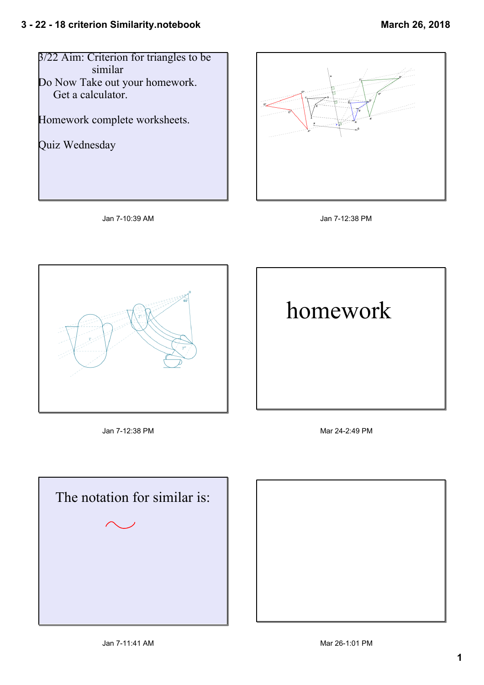







Jan 712:38 PM Mar 242:49 PM





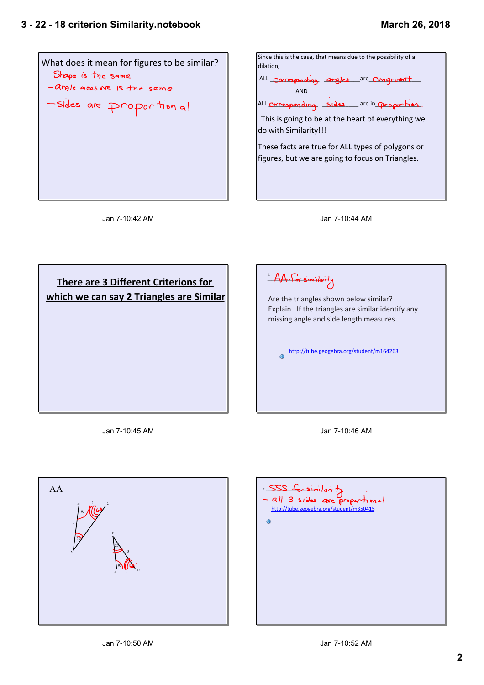







Jan 7-10:45 AM



Jan 7-10:46 AM



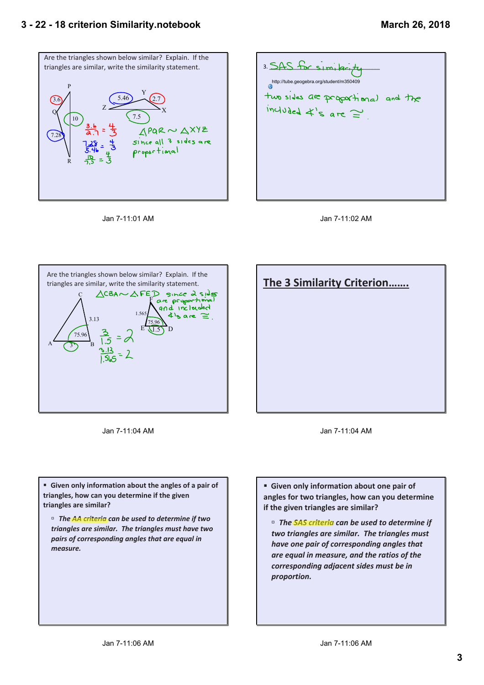## **3 22 18 criterion Similarity.notebook**

## **March 26, 2018**











Jan 7-11:04 AM



Jan 7-11:04 AM

**F** Given only information about the angles of a pair of **triangles, how can you determine if the given triangles are similar?**

˙ *The AA criteria can be used to determine if two triangles are similar. The triangles must have two pairs of corresponding angles that are equal in measure.*

**Example 3 Given only information about one pair of angles for two triangles, how can you determine if the given triangles are similar?**

˙ *The SAS criteria can be used to determine if two triangles are similar. The triangles must have one pair of corresponding angles that are equal in measure, and the ratios of the corresponding adjacent sides must be in proportion.*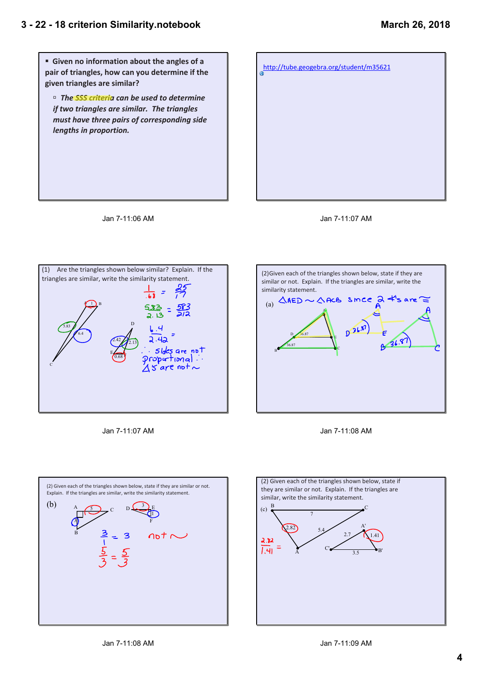**Fig. 4** Given no information about the angles of a **pair of triangles, how can you determine if the given triangles are similar?** ˙ *The SSS criteria can be used to determine if two triangles are similar. The triangles must have three pairs of corresponding side lengths in proportion.* http://tube.geogebra.org/student/m35621







Jan 7-11:07 AM







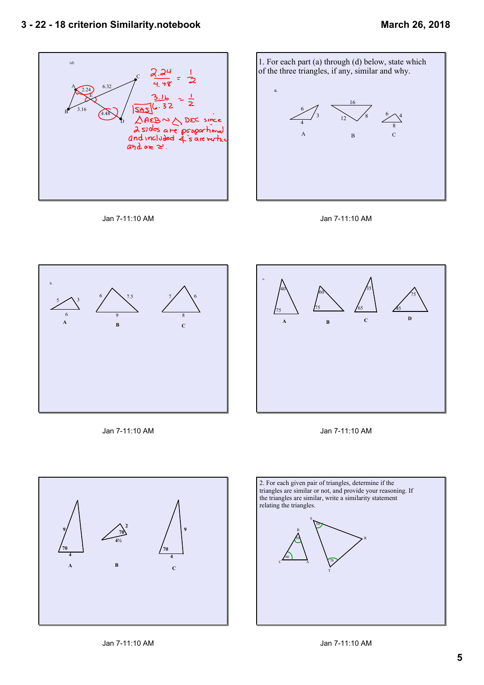

Jan 7-11:10 AM





45

 $\frac{75}{2}$ 



Jan 7-11:10 AM





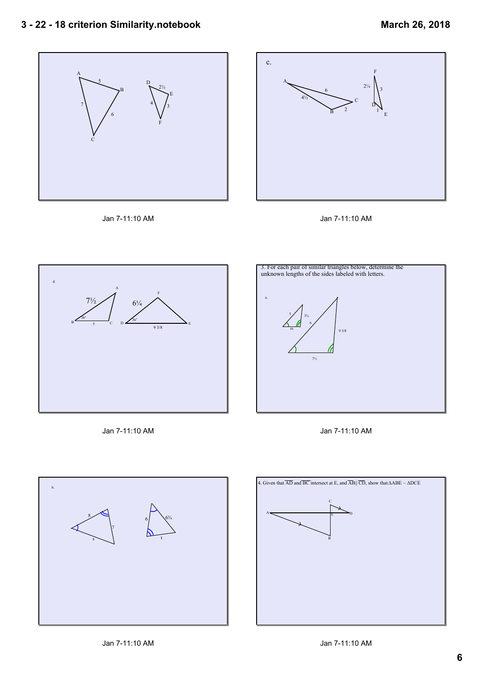## **3 22 18 criterion Similarity.notebook**











Jan 7-11:10 AM